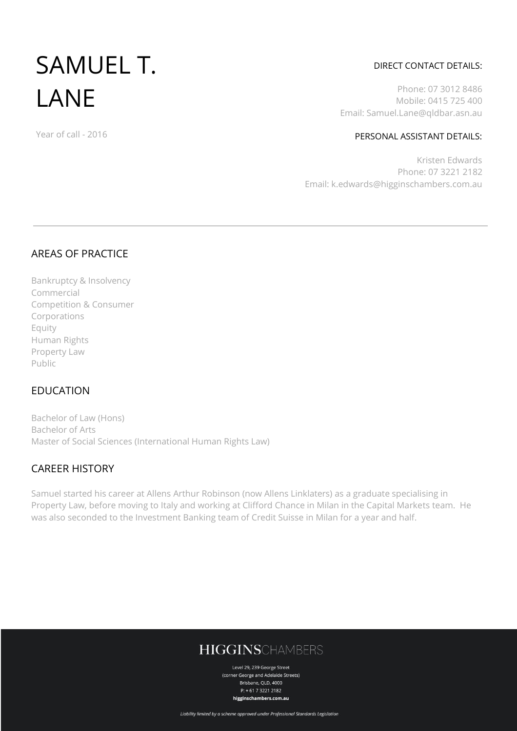# SAMUEL T. LANE

#### Year of call - 2016

### DIRECT CONTACT DETAILS:

Phone: 07 3012 8486 Mobile: 0415 725 400 Email: Samuel.Lane@qldbar.asn.au

### PERSONAL ASSISTANT DETAILS:

Kristen Edwards Phone: 07 3221 2182 Email: k.edwards@higginschambers.com.au

### AREAS OF PRACTICE

Bankruptcy & Insolvency Commercial Competition & Consumer Corporations Equity Human Rights Property Law Public

### EDUCATION

Bachelor of Law (Hons) Bachelor of Arts Master of Social Sciences (International Human Rights Law)

# CAREER HISTORY

Samuel started his career at Allens Arthur Robinson (now Allens Linklaters) as a graduate specialising in Property Law, before moving to Italy and working at Clifford Chance in Milan in the Capital Markets team. He was also seconded to the Investment Banking team of Credit Suisse in Milan for a year and half.

# **HIGGINSCHAMBERS**

Level 29, 239 George Street (corner George and Adelaide Streets) Brisbane, QLD, 4000  $P: +61732212182$ higginschambers.com.au

Liability limited by a scheme approved under Professional Standards Legislation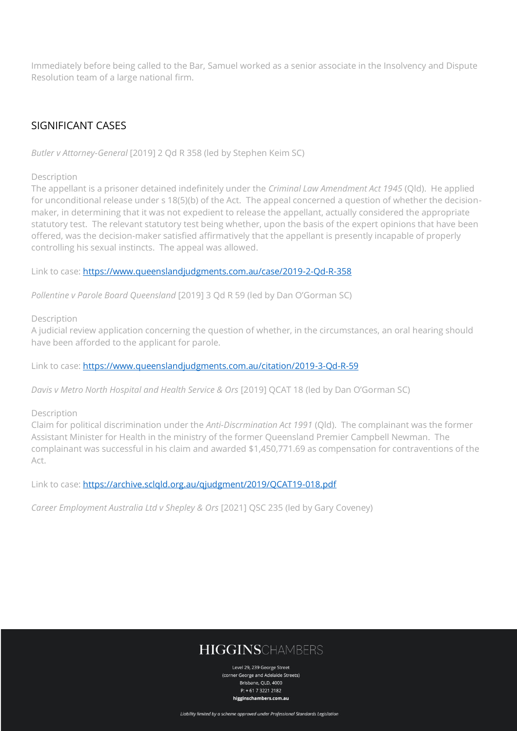Immediately before being called to the Bar, Samuel worked as a senior associate in the Insolvency and Dispute Resolution team of a large national firm.

# SIGNIFICANT CASES

*Butler v Attorney-General* [2019] 2 Qd R 358 (led by Stephen Keim SC)

Description

The appellant is a prisoner detained indefinitely under the *Criminal Law Amendment Act 1945* (Qld). He applied for unconditional release under s 18(5)(b) of the Act. The appeal concerned a question of whether the decisionmaker, in determining that it was not expedient to release the appellant, actually considered the appropriate statutory test. The relevant statutory test being whether, upon the basis of the expert opinions that have been offered, was the decision-maker satisfied affirmatively that the appellant is presently incapable of properly controlling his sexual instincts. The appeal was allowed.

Link to case:<https://www.queenslandjudgments.com.au/case/2019-2-Qd-R-358>

*Pollentine v Parole Board Queensland* [2019] 3 Qd R 59 (led by Dan O'Gorman SC)

Description

A judicial review application concerning the question of whether, in the circumstances, an oral hearing should have been afforded to the applicant for parole.

Link to case:<https://www.queenslandjudgments.com.au/citation/2019-3-Qd-R-59>

*Davis v Metro North Hospital and Health Service & Ors* [2019] QCAT 18 (led by Dan O'Gorman SC)

### Description

Claim for political discrimination under the *Anti-Discrmination Act 1991* (Qld). The complainant was the former Assistant Minister for Health in the ministry of the former Queensland Premier Campbell Newman. The complainant was successful in his claim and awarded \$1,450,771.69 as compensation for contraventions of the Act.

Link to case:<https://archive.sclqld.org.au/qjudgment/2019/QCAT19-018.pdf>

*Career Employment Australia Ltd v Shepley & Ors* [2021] QSC 235 (led by Gary Coveney)

# **HIGGINSCHAMBERS**

Level 29, 239 George Street (corner George and Adelaide Streets) Brishane, OLD, 4000  $P: +61732212182$ higginschambers.com.au

Liability limited by a scheme approved under Professional Standards Legislation